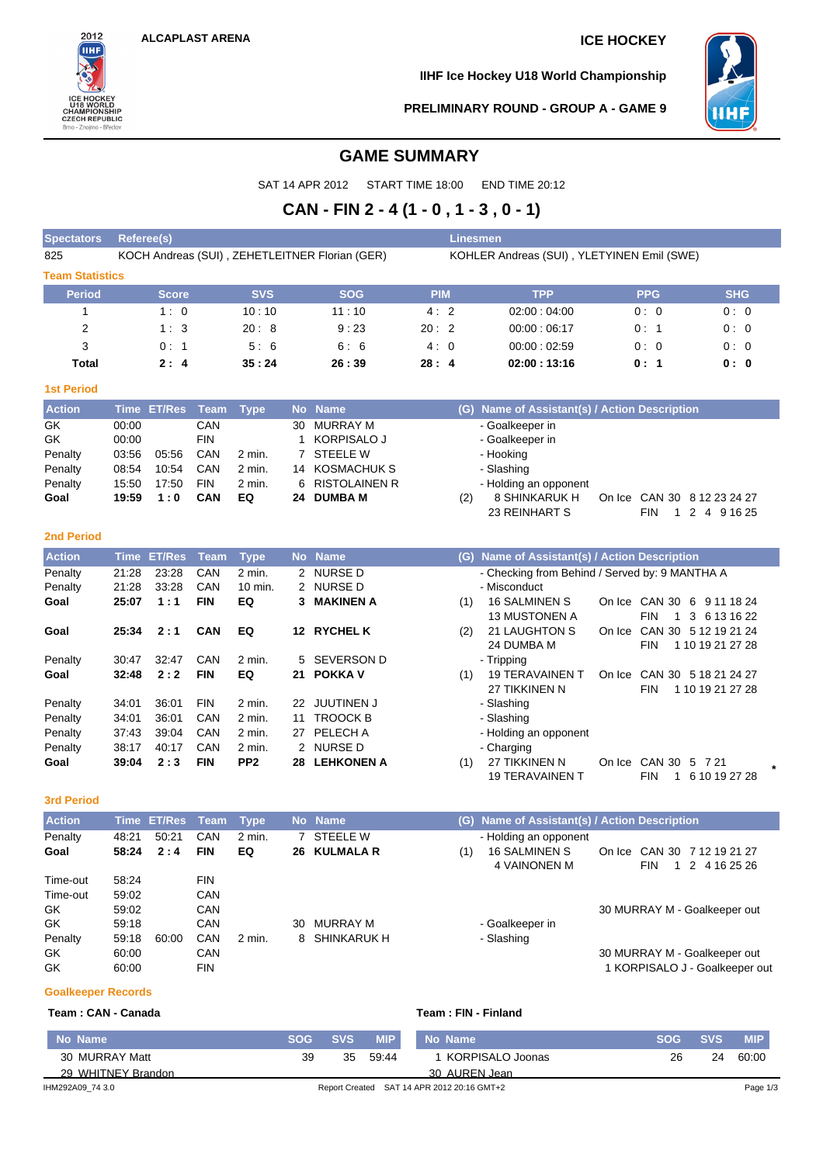**Spectators Referee(s) Linesmen**



**IIHF Ice Hockey U18 World Championship**



**PRELIMINARY ROUND - GROUP A - GAME 9**

## **GAME SUMMARY**

SAT 14 APR 2012 START TIME 18:00 END TIME 20:12

# **CAN - FIN 2 - 4 (1 - 0 , 1 - 3 , 0 - 1)**

| 825                    | KOCH Andreas (SUI), ZEHETLEITNER Florian (GER) |                    |             |                 |                      |                      | KOHLER Andreas (SUI), YLETYINEN Emil (SWE) |                                                |                              |                                          |  |  |  |  |
|------------------------|------------------------------------------------|--------------------|-------------|-----------------|----------------------|----------------------|--------------------------------------------|------------------------------------------------|------------------------------|------------------------------------------|--|--|--|--|
| <b>Team Statistics</b> |                                                |                    |             |                 |                      |                      |                                            |                                                |                              |                                          |  |  |  |  |
| <b>Period</b>          |                                                | <b>Score</b>       |             | <b>SVS</b>      |                      | <b>SOG</b>           | <b>PIM</b>                                 | <b>TPP</b>                                     | <b>PPG</b>                   | <b>SHG</b>                               |  |  |  |  |
| $\mathbf{1}$           |                                                | 1:0                |             | 10:10           |                      | 11:10                | 4:2                                        | 02:00:04:00                                    | 0:0                          | 0:0                                      |  |  |  |  |
| $\overline{2}$         |                                                | 1:3                |             | 20:8            |                      | 9:23                 | 20:2                                       | 00:00:06:17                                    | 0: 1                         | 0:0                                      |  |  |  |  |
| 3                      |                                                | 0:1                |             | 5:6             |                      | 6:6                  | 4:0                                        | 00:00:02:59                                    | 0:0                          | 0:0                                      |  |  |  |  |
| Total                  |                                                | 2:4                |             | 35:24           |                      | 26:39                | 28:4                                       | 02:00:13:16                                    | 0: 1                         | 0: 0                                     |  |  |  |  |
| <b>1st Period</b>      |                                                |                    |             |                 |                      |                      |                                            |                                                |                              |                                          |  |  |  |  |
| <b>Action</b>          | <b>Time</b>                                    | <b>ET/Res</b>      | <b>Team</b> | <b>Type</b>     | <b>No</b>            | <b>Name</b>          | (G)                                        | Name of Assistant(s) / Action Description      |                              |                                          |  |  |  |  |
| GK                     | 00:00                                          |                    | CAN         |                 | 30                   | <b>MURRAY M</b>      |                                            | - Goalkeeper in                                |                              |                                          |  |  |  |  |
| GK                     | 00:00                                          |                    | <b>FIN</b>  |                 | 1                    | <b>KORPISALO J</b>   |                                            | - Goalkeeper in                                |                              |                                          |  |  |  |  |
| Penalty                | 03:56                                          | 05:56              | CAN         | 2 min.          |                      | 7 STEELE W           |                                            | - Hooking                                      |                              |                                          |  |  |  |  |
| Penalty                | 08:54                                          | 10:54              | CAN         | 2 min.          |                      | 14 KOSMACHUK S       |                                            | - Slashing                                     |                              |                                          |  |  |  |  |
| Penalty                | 15:50                                          | 17:50              | <b>FIN</b>  | 2 min.          | 6                    | <b>RISTOLAINEN R</b> |                                            | - Holding an opponent                          |                              |                                          |  |  |  |  |
| Goal                   | 19:59                                          | 1:0                | CAN         | EQ              | 24                   | <b>DUMBA M</b>       | (2)                                        | 8 SHINKARUK H                                  | On Ice CAN 30 8 12 23 24 27  |                                          |  |  |  |  |
|                        |                                                |                    |             |                 |                      |                      |                                            | 23 REINHART S                                  | <b>FIN</b>                   | 1 2 4 9 16 25                            |  |  |  |  |
| <b>2nd Period</b>      |                                                |                    |             |                 |                      |                      |                                            |                                                |                              |                                          |  |  |  |  |
| <b>Action</b>          |                                                | <b>Time ET/Res</b> | <b>Team</b> | <b>Type</b>     |                      | No Name              |                                            | (G) Name of Assistant(s) / Action Description  |                              |                                          |  |  |  |  |
| Penalty                | 21:28                                          | 23:28              | CAN         | 2 min.          | $\mathbf{2}^{\circ}$ | <b>NURSED</b>        |                                            | - Checking from Behind / Served by: 9 MANTHA A |                              |                                          |  |  |  |  |
| Penalty                | 21:28                                          | 33:28              | CAN         | 10 min.         | 2                    | NURSE D              |                                            | - Misconduct                                   |                              |                                          |  |  |  |  |
| Goal                   | 25:07                                          | 1:1                | <b>FIN</b>  | EQ              | 3                    | <b>MAKINEN A</b>     | (1)                                        | <b>16 SALMINEN S</b>                           | On Ice CAN 30 6 9 11 18 24   |                                          |  |  |  |  |
|                        |                                                |                    |             |                 |                      |                      |                                            | <b>13 MUSTONEN A</b>                           | <b>FIN</b><br>$\mathbf{1}$   | 3 6 13 16 22                             |  |  |  |  |
| Goal                   | 25:34                                          | 2:1                | CAN         | EQ              |                      | 12 RYCHEL K          | (2)                                        | 21 LAUGHTON S<br>24 DUMBA M                    | On Ice<br><b>FIN</b>         | CAN 30 5 12 19 21 24<br>1 10 19 21 27 28 |  |  |  |  |
| Penalty                | 30:47                                          | 32:47              | CAN         | 2 min.          | 5                    | <b>SEVERSON D</b>    |                                            | - Tripping                                     |                              |                                          |  |  |  |  |
| Goal                   | 32:48                                          | 2:2                | <b>FIN</b>  | EQ              | 21                   | <b>POKKA V</b>       | (1)                                        | <b>19 TERAVAINEN T</b><br>27 TIKKINEN N        | On Ice<br><b>FIN</b>         | CAN 30 5 18 21 24 27<br>1 10 19 21 27 28 |  |  |  |  |
| Penalty                | 34:01                                          | 36:01              | <b>FIN</b>  | 2 min.          |                      | 22 JUUTINEN J        |                                            | - Slashing                                     |                              |                                          |  |  |  |  |
| Penalty                | 34:01                                          | 36:01              | CAN         | 2 min.          | 11                   | <b>TROOCK B</b>      |                                            | - Slashing                                     |                              |                                          |  |  |  |  |
| Penalty                | 37:43                                          | 39:04              | CAN         | 2 min.          |                      | 27 PELECH A          |                                            | - Holding an opponent                          |                              |                                          |  |  |  |  |
| Penalty                | 38:17                                          | 40:17              | CAN         | 2 min.          |                      | 2 NURSE D            |                                            | - Charging                                     |                              |                                          |  |  |  |  |
| Goal                   | 39:04                                          | 2:3                | <b>FIN</b>  | PP <sub>2</sub> |                      | 28 LEHKONEN A        | (1)                                        | 27 TIKKINEN N                                  | On Ice CAN 30 5 7 21         |                                          |  |  |  |  |
|                        |                                                |                    |             |                 |                      |                      |                                            | <b>19 TERAVAINEN T</b>                         | <b>FIN</b>                   | 1 6 10 19 27 28                          |  |  |  |  |
| <b>3rd Period</b>      |                                                |                    |             |                 |                      |                      |                                            |                                                |                              |                                          |  |  |  |  |
| <b>Action</b>          |                                                | <b>Time ET/Res</b> | <b>Team</b> | <b>Type</b>     |                      | No Name              |                                            | (G) Name of Assistant(s) / Action Description  |                              |                                          |  |  |  |  |
| Penalty                | 48:21                                          | 50:21              | CAN         | 2 min.          | 7                    | <b>STEELE W</b>      |                                            | - Holding an opponent                          |                              |                                          |  |  |  |  |
| Goal                   | 58:24                                          | 2:4                | <b>FIN</b>  | EQ              |                      | 26 KULMALA R         | (1)                                        | <b>16 SALMINEN S</b>                           | On Ice CAN 30 7 12 19 21 27  |                                          |  |  |  |  |
|                        |                                                |                    |             |                 |                      |                      |                                            | <b>4 VAINONEN M</b>                            | <b>FIN</b><br>$\mathbf{1}$   | 2 4 16 25 26                             |  |  |  |  |
| Time-out               | 58:24                                          |                    | <b>FIN</b>  |                 |                      |                      |                                            |                                                |                              |                                          |  |  |  |  |
| Time-out               | 59:02                                          |                    | CAN         |                 |                      |                      |                                            |                                                |                              |                                          |  |  |  |  |
| GK                     | 59:02                                          |                    | CAN         |                 |                      |                      |                                            |                                                | 30 MURRAY M - Goalkeeper out |                                          |  |  |  |  |
| GK                     | 59:18                                          |                    | CAN         |                 | 30                   | MURRAY M             |                                            | - Goalkeeper in                                |                              |                                          |  |  |  |  |
| Penalty                | 59:18                                          | 60:00              | CAN         | 2 min.          | 8                    | SHINKARUK H          |                                            | - Slashing                                     |                              |                                          |  |  |  |  |
| GK                     | 60:00                                          |                    | CAN         |                 |                      |                      |                                            |                                                | 30 MURRAY M - Goalkeeper out |                                          |  |  |  |  |
| GK                     | 60:00                                          |                    | <b>FIN</b>  |                 |                      |                      |                                            |                                                |                              | 1 KORPISALO J - Goalkeeper out           |  |  |  |  |

#### **Goalkeeper Records**

#### **Team : CAN - Canada Team : FIN - Finland**

| No Name            | <b>SOG</b> | <b>SVS</b>                                 | <b>MIP</b> | No Name          | <b>SOG</b> | <b>SVS</b> | <b>MIP</b> |  |
|--------------------|------------|--------------------------------------------|------------|------------------|------------|------------|------------|--|
| 30 MURRAY Matt     | 39         | 35                                         | -59:44     | KORPISALO Joonas | 26         | 24         | 60:00      |  |
| 29 WHITNEY Brandon |            |                                            |            | 30 AUREN Jean    |            |            |            |  |
| IHM292A09 74 3.0   |            | Report Created SAT 14 APR 2012 20:16 GMT+2 |            |                  | Page 1/3   |            |            |  |

1 KORPISALO J - Goalkeeper out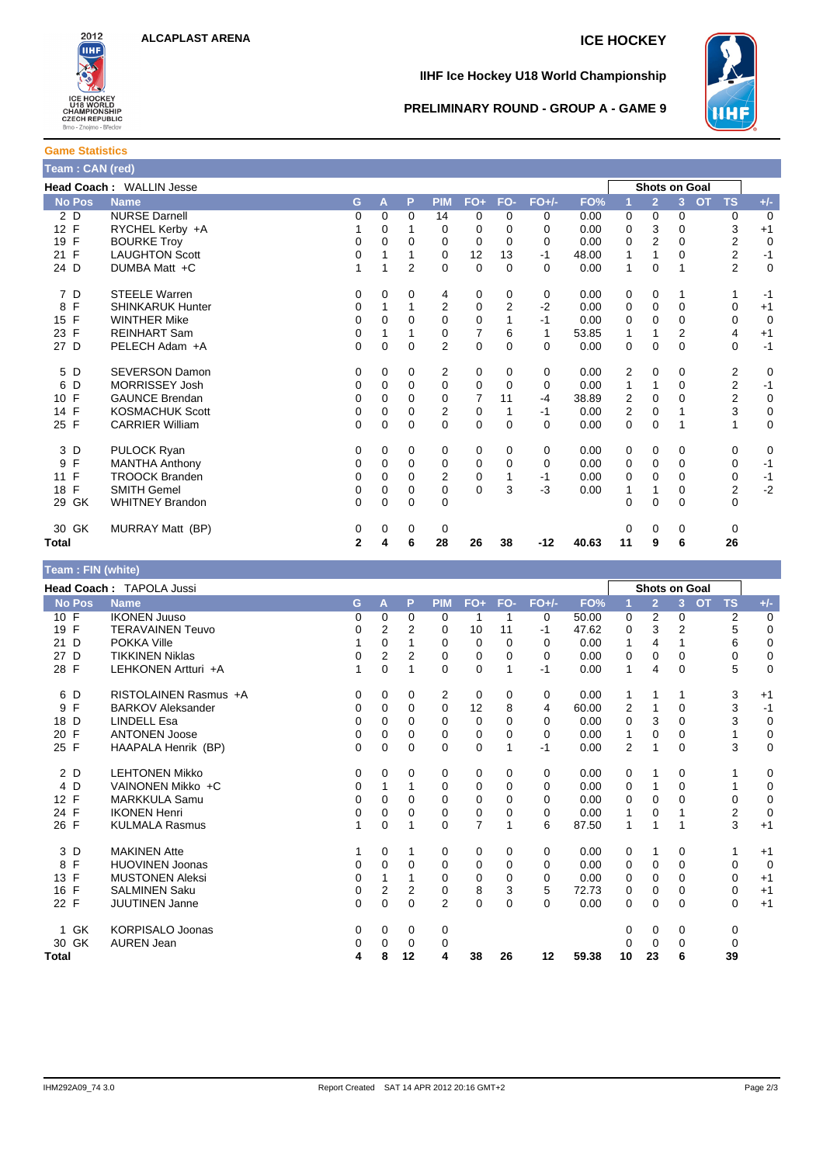



#### **IIHF Ice Hockey U18 World Championship**



#### **PRELIMINARY ROUND - GROUP A - GAME 9**

### **Game Statistics Team : CAN (red)**

| Head Coach: WALLIN Jesse |                         |              |             |                |                |                |                |          |       | <b>Shots on Goal</b> |                |                |                         |                |
|--------------------------|-------------------------|--------------|-------------|----------------|----------------|----------------|----------------|----------|-------|----------------------|----------------|----------------|-------------------------|----------------|
| <b>No Pos</b>            | <b>Name</b>             | G.           | A           | P              | <b>PIM</b>     | $FO+$          | FO-            | $FO+/-$  | FO%   | 1                    | $\overline{2}$ | 3 <sup>1</sup> | <b>OT</b><br><b>TS</b>  | $+/-$          |
| 2 D                      | <b>NURSE Darnell</b>    | 0            | $\Omega$    | $\Omega$       | 14             | 0              | $\Omega$       | 0        | 0.00  | 0                    | 0              | 0              | 0                       | $\overline{0}$ |
| 12 F                     | RYCHEL Kerby +A         |              | 0           |                | 0              | 0              | $\Omega$       | $\Omega$ | 0.00  | 0                    | 3              | 0              | 3                       | $+1$           |
| 19 F                     | <b>BOURKE Troy</b>      | 0            | $\Omega$    | 0              | 0              | 0              | $\Omega$       | 0        | 0.00  | 0                    | $\overline{2}$ | $\Omega$       | $\overline{2}$          | $\mathbf 0$    |
| $\mathsf{F}$<br>21       | <b>LAUGHTON Scott</b>   | 0            |             |                | 0              | 12             | 13             | $-1$     | 48.00 | 1                    | 1              | 0              | $\overline{2}$          | $-1$           |
| 24 D                     | DUMBA Matt +C           | 1            | 1           | $\overline{2}$ | $\Omega$       | $\mathbf 0$    | $\Omega$       | $\Omega$ | 0.00  | 1                    | $\Omega$       |                | $\overline{2}$          | $\mathbf 0$    |
| 7 D                      | <b>STEELE Warren</b>    | 0            | 0           | 0              | 4              | 0              | 0              | 0        | 0.00  | 0                    | $\mathbf 0$    |                |                         | $-1$           |
| $\mathsf{F}$<br>8        | <b>SHINKARUK Hunter</b> | 0            |             |                | $\overline{2}$ | $\mathbf 0$    | $\overline{2}$ | $-2$     | 0.00  | 0                    | $\mathbf 0$    | $\Omega$       | 0                       | $+1$           |
| 15 F                     | <b>WINTHER Mike</b>     | 0            | 0           | 0              | $\Omega$       | 0              |                | $-1$     | 0.00  | 0                    | $\mathbf 0$    | 0              | 0                       | $\overline{0}$ |
| 23 F                     | <b>REINHART Sam</b>     | 0            |             |                | 0              | $\overline{7}$ | 6              | 1        | 53.85 | 1                    | 1              | $\overline{2}$ | 4                       | $+1$           |
| 27 D                     | PELECH Adam +A          | 0            | $\mathbf 0$ | $\mathbf 0$    | $\overline{2}$ | 0              | $\Omega$       | $\Omega$ | 0.00  | 0                    | $\mathbf 0$    | $\mathbf 0$    | 0                       | $-1$           |
| 5 D                      | <b>SEVERSON Damon</b>   | 0            | 0           | 0              | 2              | 0              | 0              | 0        | 0.00  | 2                    | 0              | 0              | 2                       | $\mathbf 0$    |
| 6<br>D                   | <b>MORRISSEY Josh</b>   | 0            | 0           | $\Omega$       | $\mathbf 0$    | 0              | $\Omega$       | 0        | 0.00  | 1                    | 1              | 0              | $\overline{\mathbf{c}}$ | $-1$           |
| 10 F                     | <b>GAUNCE Brendan</b>   | 0            | $\Omega$    | 0              | $\Omega$       | 7              | 11             | $-4$     | 38.89 | 2                    | 0              | 0              | 2                       | $\mathbf 0$    |
| 14 F                     | <b>KOSMACHUK Scott</b>  | 0            | 0           | 0              | 2              | 0              |                | $-1$     | 0.00  | 2                    | 0              |                | 3                       | $\mathbf 0$    |
| 25 F                     | <b>CARRIER William</b>  | 0            | 0           | $\Omega$       | $\Omega$       | $\Omega$       | $\Omega$       | $\Omega$ | 0.00  | 0                    | $\Omega$       |                |                         | $\mathbf 0$    |
| 3 D                      | PULOCK Ryan             | 0            | 0           | 0              | 0              | 0              | $\Omega$       | 0        | 0.00  | 0                    | 0              | 0              | 0                       | 0              |
| $\mathsf{F}$<br>9        | <b>MANTHA Anthony</b>   | 0            | 0           | 0              | 0              | 0              | $\Omega$       | 0        | 0.00  | 0                    | $\mathbf 0$    | 0              | 0                       | $-1$           |
| $\mathsf{F}$<br>11       | <b>TROOCK Branden</b>   | 0            | $\Omega$    | 0              | $\overline{2}$ | 0              |                | $-1$     | 0.00  | 0                    | $\Omega$       | 0              | 0                       | $-1$           |
| 18 F                     | <b>SMITH Gemel</b>      | 0            | 0           | 0              | 0              | 0              | 3              | $-3$     | 0.00  | 1                    | 1              | 0              | $\overline{2}$          | $-2$           |
| 29 GK                    | <b>WHITNEY Brandon</b>  | 0            | $\Omega$    | $\mathbf 0$    | 0              |                |                |          |       | 0                    | $\Omega$       | 0              | $\Omega$                |                |
| 30 GK                    | MURRAY Matt (BP)        | 0            | 0           | 0              | 0              |                |                |          |       | 0                    | 0              | 0              | 0                       |                |
| Total                    |                         | $\mathbf{2}$ | 4           | 6              | 28             | 26             | 38             | $-12$    | 40.63 | 11                   | 9              | 6              | 26                      |                |

### **Team : FIN (white) Head Coach :** TAPOLA Jussi **Shots on Goal No Pos Name G A P PIM FO+ FO- FO+/- FO% 1 2 3 OT TS +/-** 10 F IKONEN Juuso 0 0 0 0 1 1 0 50.00 0 2 0 2 0 19 F TERAVAINEN Teuvo 0 2 2 0 10 11 -1 47.62 0 3 2 5 0 21 D POKKA Ville 1 0 1 0 0 0 0 0.00 1 4 1 6 0 27 D TIKKINEN Niklas 0 2 2 0 0 0 0 0.00 0 0 0 0 0 28 F LEHKONEN Artturi +A 1 0 1 0 0 1 -1 0.00 1 4 0 5 0 6 D RISTOLAINEN Rasmus +A 0 0 0 2 0 0 0 0.00 1 1 1 3 +1 9 F BARKOV Aleksander 0 0 0 0 12 8 4 60.00 2 1 0 3 -1 18 D LINDELL Esa 0 0 0 0 0 0 0 0.00 0 3 0 3 0 20 F ANTONEN Joose 0 0 0 0 0 0 0 0.00 1 0 0 1 0 25 F HAAPALA Henrik (BP) 0 0 0 0 0 1 -1 0.00 2 1 0 3 0 2 D LEHTONEN Mikko 0 0 0 0 0 0 0 0.00 0 1 0 1 0 4 D VAINONEN Mikko +C 0 1 1 0 0 0 0 0.00 0 1 0 1 0 12 F MARKKULA Samu<br>24 F IKONEN Henri 24 F IKONEN Henri 0 0 0 0 0 0 0 0.00 1 0 1 2 0 26 F KULMALA Rasmus 1 0 1 0 7 1 6 87.50 1 1 1 3 +1 3 D MAKINEN Atte 1 0 1 0 0 0 0 0.00 0 1 0 1 +1 8 F HUOVINEN Joonas 0 0 0 0 0 0 0 0.00 0 0 0 0 0 13 F MUSTONEN Aleksi 0 1 1 0 0 0 0 0.00 0 0 0 0 +1 16 F SALMINEN Saku 0 2 2 0 8 3 5 72.73 0 0 0 0 +1 22 F JUUTINEN Janne 0 0 0 2 0 0 0 0.00 0 0 0 0 +1 1 GK KORPISALO Joonas 0 0 0 0 0 0 0 0 30 GK AUREN Jean 0 0 0 0 0 0 0 0 **Total 4 8 12 4 38 26 12 59.38 10 23 6 39**